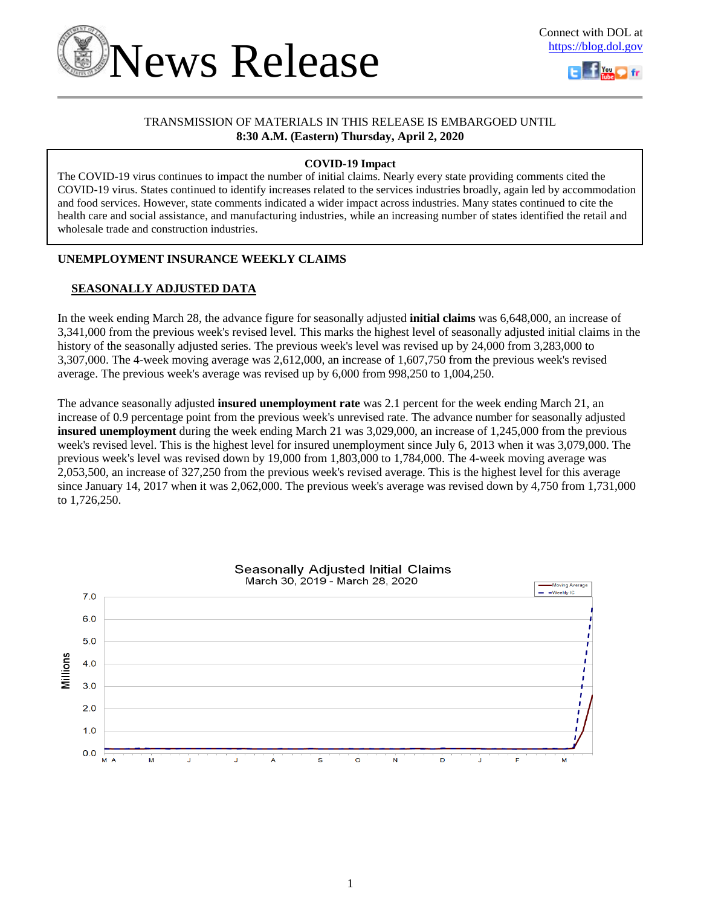



### TRANSMISSION OF MATERIALS IN THIS RELEASE IS EMBARGOED UNTIL **8:30 A.M. (Eastern) Thursday, April 2, 2020**

### **COVID-19 Impact**

The COVID-19 virus continues to impact the number of initial claims. Nearly every state providing comments cited the COVID-19 virus. States continued to identify increases related to the services industries broadly, again led by accommodation and food services. However, state comments indicated a wider impact across industries. Many states continued to cite the health care and social assistance, and manufacturing industries, while an increasing number of states identified the retail and wholesale trade and construction industries.

## **UNEMPLOYMENT INSURANCE WEEKLY CLAIMS**

### **SEASONALLY ADJUSTED DATA**

In the week ending March 28, the advance figure for seasonally adjusted **initial claims** was 6,648,000, an increase of 3,341,000 from the previous week's revised level. This marks the highest level of seasonally adjusted initial claims in the history of the seasonally adjusted series. The previous week's level was revised up by 24,000 from 3,283,000 to 3,307,000. The 4-week moving average was 2,612,000, an increase of 1,607,750 from the previous week's revised average. The previous week's average was revised up by 6,000 from 998,250 to 1,004,250.

The advance seasonally adjusted **insured unemployment rate** was 2.1 percent for the week ending March 21, an increase of 0.9 percentage point from the previous week's unrevised rate. The advance number for seasonally adjusted **insured unemployment** during the week ending March 21 was 3,029,000, an increase of 1,245,000 from the previous week's revised level. This is the highest level for insured unemployment since July 6, 2013 when it was 3,079,000. The previous week's level was revised down by 19,000 from 1,803,000 to 1,784,000. The 4-week moving average was 2,053,500, an increase of 327,250 from the previous week's revised average. This is the highest level for this average since January 14, 2017 when it was 2,062,000. The previous week's average was revised down by 4,750 from 1,731,000 to 1,726,250.

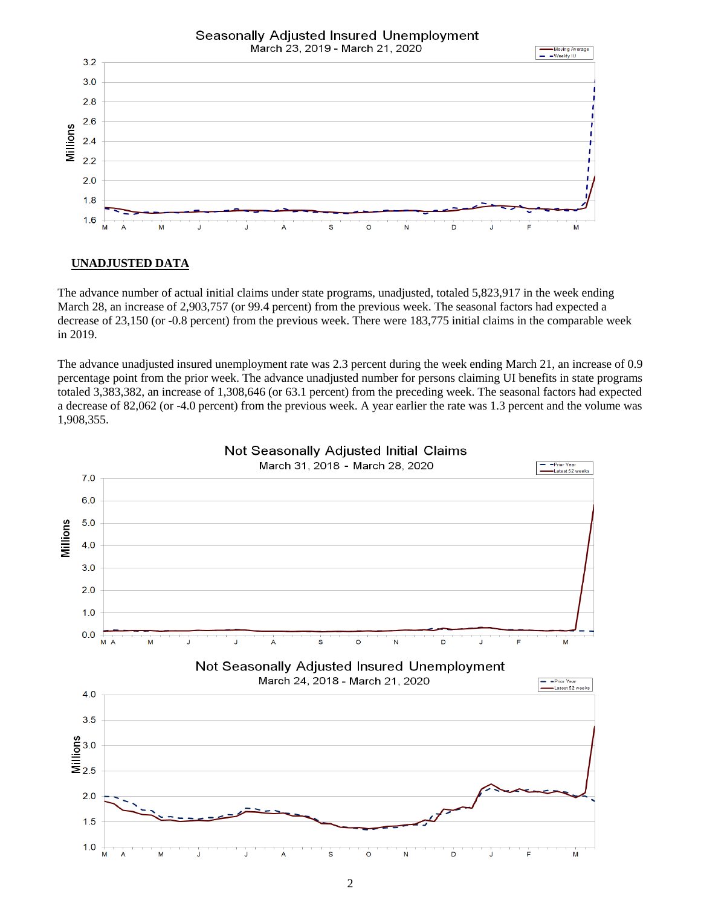

### **UNADJUSTED DATA**

The advance number of actual initial claims under state programs, unadjusted, totaled 5,823,917 in the week ending March 28, an increase of 2,903,757 (or 99.4 percent) from the previous week. The seasonal factors had expected a decrease of 23,150 (or -0.8 percent) from the previous week. There were 183,775 initial claims in the comparable week in 2019.

The advance unadjusted insured unemployment rate was 2.3 percent during the week ending March 21, an increase of 0.9 percentage point from the prior week. The advance unadjusted number for persons claiming UI benefits in state programs totaled 3,383,382, an increase of 1,308,646 (or 63.1 percent) from the preceding week. The seasonal factors had expected a decrease of 82,062 (or -4.0 percent) from the previous week. A year earlier the rate was 1.3 percent and the volume was 1,908,355.



**Not Seasonally Adjusted Initial Claims**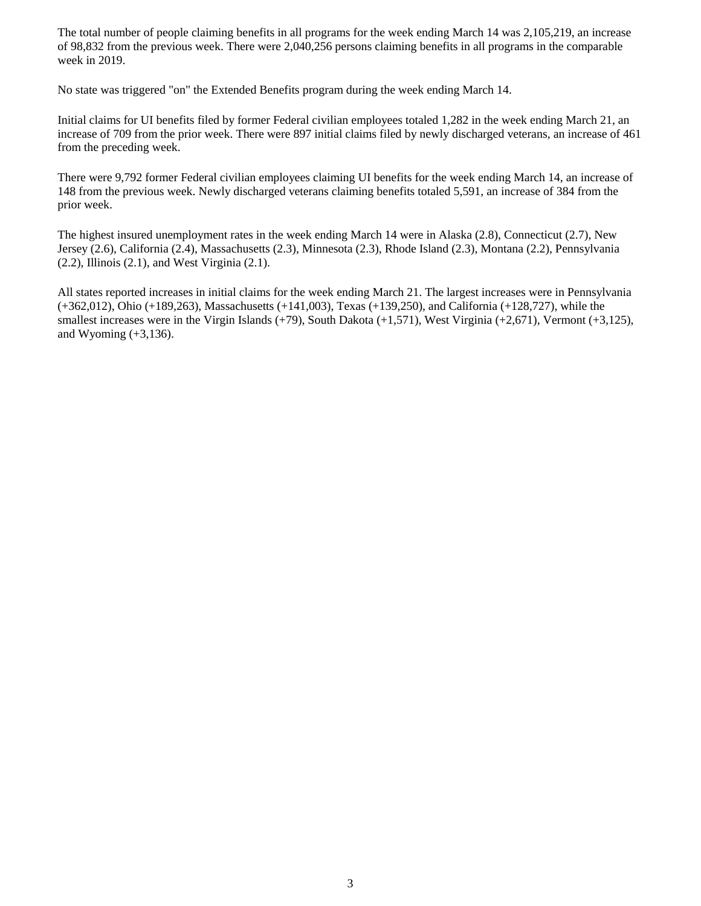The total number of people claiming benefits in all programs for the week ending March 14 was 2,105,219, an increase of 98,832 from the previous week. There were 2,040,256 persons claiming benefits in all programs in the comparable week in 2019.

No state was triggered "on" the Extended Benefits program during the week ending March 14.

Initial claims for UI benefits filed by former Federal civilian employees totaled 1,282 in the week ending March 21, an increase of 709 from the prior week. There were 897 initial claims filed by newly discharged veterans, an increase of 461 from the preceding week.

There were 9,792 former Federal civilian employees claiming UI benefits for the week ending March 14, an increase of 148 from the previous week. Newly discharged veterans claiming benefits totaled 5,591, an increase of 384 from the prior week.

The highest insured unemployment rates in the week ending March 14 were in Alaska (2.8), Connecticut (2.7), New Jersey (2.6), California (2.4), Massachusetts (2.3), Minnesota (2.3), Rhode Island (2.3), Montana (2.2), Pennsylvania (2.2), Illinois (2.1), and West Virginia (2.1).

All states reported increases in initial claims for the week ending March 21. The largest increases were in Pennsylvania (+362,012), Ohio (+189,263), Massachusetts (+141,003), Texas (+139,250), and California (+128,727), while the smallest increases were in the Virgin Islands (+79), South Dakota (+1,571), West Virginia (+2,671), Vermont (+3,125), and Wyoming (+3,136).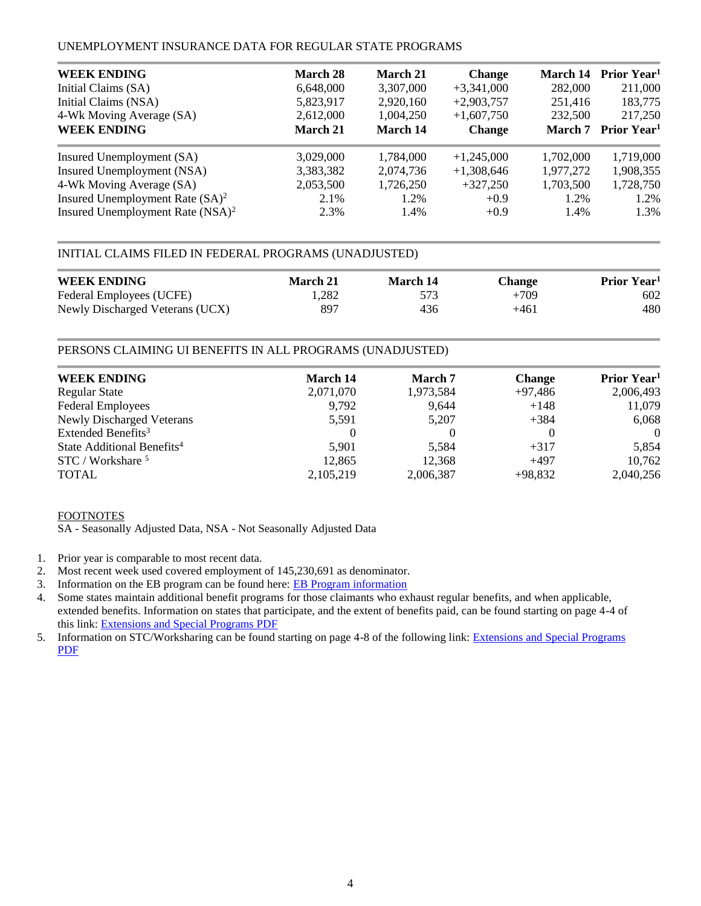### UNEMPLOYMENT INSURANCE DATA FOR REGULAR STATE PROGRAMS

| <b>WEEK ENDING</b>                           | March 28  | March 21  | <b>Change</b> | March 14  | Prior Year <sup>1</sup> |
|----------------------------------------------|-----------|-----------|---------------|-----------|-------------------------|
| Initial Claims (SA)                          | 6,648,000 | 3,307,000 | $+3,341,000$  | 282,000   | 211,000                 |
| Initial Claims (NSA)                         | 5,823,917 | 2,920,160 | $+2,903,757$  | 251,416   | 183,775                 |
| 4-Wk Moving Average (SA)                     | 2,612,000 | 1,004,250 | $+1,607,750$  | 232,500   | 217,250                 |
| <b>WEEK ENDING</b>                           | March 21  | March 14  | <b>Change</b> | March 7   | Prior Year <sup>1</sup> |
| Insured Unemployment (SA)                    | 3,029,000 | 1,784,000 | $+1,245,000$  | 1,702,000 | 1,719,000               |
| Insured Unemployment (NSA)                   | 3,383,382 | 2,074,736 | $+1,308,646$  | 1,977,272 | 1,908,355               |
| 4-Wk Moving Average (SA)                     | 2,053,500 | 1,726,250 | $+327,250$    | 1,703,500 | 1,728,750               |
| Insured Unemployment Rate $(SA)^2$           | 2.1%      | 1.2%      | $+0.9$        | 1.2%      | 1.2%                    |
| Insured Unemployment Rate (NSA) <sup>2</sup> | 2.3%      | 1.4%      | $+0.9$        | 1.4%      | 1.3%                    |

### INITIAL CLAIMS FILED IN FEDERAL PROGRAMS (UNADJUSTED)

| <b>WEEK ENDING</b>              | March 21 | <b>March 14</b> | <b>Change</b> | Prior Year <sup>1</sup> |
|---------------------------------|----------|-----------------|---------------|-------------------------|
| Federal Employees (UCFE)        | 1.282    | 573             | $+709$        | 602                     |
| Newly Discharged Veterans (UCX) | 897      | 436             | $+461$        | 480                     |

### PERSONS CLAIMING UI BENEFITS IN ALL PROGRAMS (UNADJUSTED)

| March 14  | <b>March</b> 7 | <b>Change</b> | <b>Prior Year</b> <sup>1</sup> |
|-----------|----------------|---------------|--------------------------------|
| 2,071,070 | 1,973,584      | $+97,486$     | 2,006,493                      |
| 9.792     | 9.644          | $+148$        | 11,079                         |
| 5,591     | 5.207          | $+384$        | 6,068                          |
| $\theta$  |                |               | $\theta$                       |
| 5,901     | 5,584          | $+317$        | 5,854                          |
| 12,865    | 12,368         | $+497$        | 10,762                         |
| 2,105,219 | 2,006,387      | $+98,832$     | 2,040,256                      |
|           |                |               |                                |

### FOOTNOTES

SA - Seasonally Adjusted Data, NSA - Not Seasonally Adjusted Data

- 1. Prior year is comparable to most recent data.
- 2. Most recent week used covered employment of 145,230,691 as denominator.
- 3. Information on the EB program can be found here: **EB Program information**
- 4. Some states maintain additional benefit programs for those claimants who exhaust regular benefits, and when applicable, extended benefits. Information on states that participate, and the extent of benefits paid, can be found starting on page 4-4 of this link: [Extensions and Special Programs PDF](https://oui.doleta.gov/unemploy/pdf/uilawcompar/2019/special.pdf#page=4)
- 5. Information on STC/Worksharing can be found starting on page 4-8 of the following link: [Extensions and Special Programs](https://oui.doleta.gov/unemploy/pdf/uilawcompar/2019/special.pdf#page=8) [PDF](https://oui.doleta.gov/unemploy/pdf/uilawcompar/2019/special.pdf#page=8)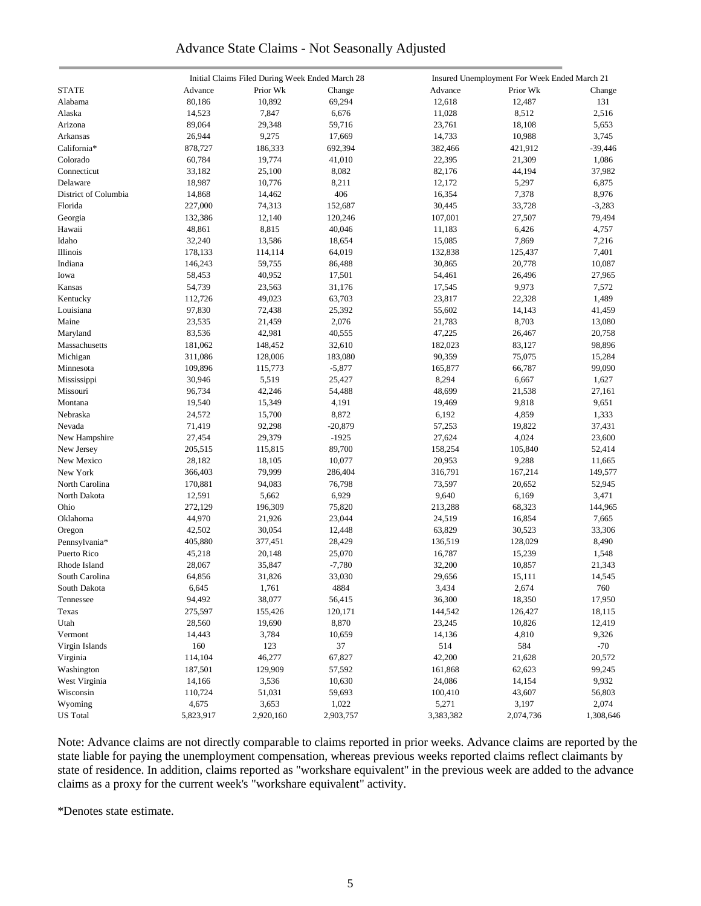# Advance State Claims - Not Seasonally Adjusted

|                      |           | Initial Claims Filed During Week Ended March 28 |           | Insured Unemployment For Week Ended March 21 |           |           |  |  |
|----------------------|-----------|-------------------------------------------------|-----------|----------------------------------------------|-----------|-----------|--|--|
| <b>STATE</b>         | Advance   | Prior Wk                                        | Change    | Advance                                      | Prior Wk  | Change    |  |  |
| Alabama              | 80,186    | 10,892                                          | 69,294    | 12,618                                       | 12,487    | 131       |  |  |
| Alaska               | 14,523    | 7,847                                           | 6,676     | 11,028                                       | 8,512     | 2,516     |  |  |
| Arizona              | 89,064    | 29,348                                          | 59,716    | 23,761                                       | 18,108    | 5,653     |  |  |
| Arkansas             | 26,944    | 9,275                                           | 17,669    | 14,733                                       | 10,988    | 3,745     |  |  |
| California*          | 878,727   | 186,333                                         | 692,394   | 382,466                                      | 421,912   | $-39,446$ |  |  |
| Colorado             | 60,784    | 19,774                                          | 41,010    | 22,395                                       | 21,309    | 1,086     |  |  |
| Connecticut          | 33,182    | 25,100                                          | 8,082     | 82,176                                       | 44,194    | 37,982    |  |  |
| Delaware             | 18,987    | 10,776                                          | 8,211     | 12,172                                       | 5,297     | 6,875     |  |  |
| District of Columbia | 14,868    | 14,462                                          | 406       | 16,354                                       | 7,378     | 8,976     |  |  |
| Florida              | 227,000   | 74,313                                          | 152,687   | 30,445                                       | 33,728    | $-3,283$  |  |  |
| Georgia              | 132,386   | 12,140                                          | 120,246   | 107,001                                      | 27,507    | 79,494    |  |  |
| Hawaii               | 48,861    | 8,815                                           | 40,046    | 11,183                                       | 6,426     | 4,757     |  |  |
| Idaho                | 32,240    | 13,586                                          | 18,654    | 15,085                                       | 7,869     | 7,216     |  |  |
| Illinois             | 178,133   | 114,114                                         | 64,019    | 132,838                                      | 125,437   | 7,401     |  |  |
| Indiana              | 146,243   | 59,755                                          | 86,488    | 30,865                                       | 20,778    | 10,087    |  |  |
| Iowa                 | 58,453    | 40,952                                          | 17,501    | 54,461                                       | 26,496    | 27,965    |  |  |
| Kansas               | 54,739    | 23,563                                          | 31,176    | 17,545                                       | 9,973     | 7,572     |  |  |
| Kentucky             | 112,726   | 49,023                                          | 63,703    | 23,817                                       | 22,328    | 1,489     |  |  |
|                      |           |                                                 |           |                                              |           |           |  |  |
| Louisiana            | 97,830    | 72,438                                          | 25,392    | 55,602                                       | 14,143    | 41,459    |  |  |
| Maine                | 23,535    | 21,459                                          | 2,076     | 21,783                                       | 8,703     | 13,080    |  |  |
| Maryland             | 83,536    | 42,981                                          | 40,555    | 47,225                                       | 26,467    | 20,758    |  |  |
| Massachusetts        | 181,062   | 148,452                                         | 32,610    | 182,023                                      | 83,127    | 98,896    |  |  |
| Michigan             | 311,086   | 128,006                                         | 183,080   | 90,359                                       | 75,075    | 15,284    |  |  |
| Minnesota            | 109,896   | 115,773                                         | $-5,877$  | 165,877                                      | 66,787    | 99,090    |  |  |
| Mississippi          | 30,946    | 5,519                                           | 25,427    | 8,294                                        | 6,667     | 1,627     |  |  |
| Missouri             | 96,734    | 42,246                                          | 54,488    | 48,699                                       | 21,538    | 27,161    |  |  |
| Montana              | 19,540    | 15,349                                          | 4,191     | 19,469                                       | 9,818     | 9,651     |  |  |
| Nebraska             | 24,572    | 15,700                                          | 8,872     | 6,192                                        | 4,859     | 1,333     |  |  |
| Nevada               | 71,419    | 92,298                                          | $-20,879$ | 57,253                                       | 19,822    | 37,431    |  |  |
| New Hampshire        | 27,454    | 29,379                                          | $-1925$   | 27,624                                       | 4,024     | 23,600    |  |  |
| New Jersey           | 205,515   | 115,815                                         | 89,700    | 158,254                                      | 105,840   | 52,414    |  |  |
| New Mexico           | 28,182    | 18,105                                          | 10,077    | 20,953                                       | 9,288     | 11,665    |  |  |
| New York             | 366,403   | 79,999                                          | 286,404   | 316,791                                      | 167,214   | 149,577   |  |  |
| North Carolina       | 170,881   | 94,083                                          | 76,798    | 73,597                                       | 20,652    | 52,945    |  |  |
| North Dakota         | 12,591    | 5,662                                           | 6,929     | 9,640                                        | 6,169     | 3,471     |  |  |
| Ohio                 | 272,129   | 196,309                                         | 75,820    | 213,288                                      | 68,323    | 144,965   |  |  |
| Oklahoma             | 44,970    | 21,926                                          | 23,044    | 24,519                                       | 16,854    | 7,665     |  |  |
| Oregon               | 42,502    | 30,054                                          | 12,448    | 63,829                                       | 30,523    | 33,306    |  |  |
| Pennsylvania*        | 405,880   | 377,451                                         | 28,429    | 136,519                                      | 128,029   | 8,490     |  |  |
| Puerto Rico          | 45,218    | 20,148                                          | 25,070    | 16,787                                       | 15,239    | 1,548     |  |  |
| Rhode Island         | 28,067    | 35,847                                          | $-7,780$  | 32,200                                       | 10,857    | 21,343    |  |  |
| South Carolina       | 64,856    | 31,826                                          | 33,030    | 29,656                                       | 15,111    | 14,545    |  |  |
| South Dakota         | 6,645     | 1,761                                           | 4884      | 3,434                                        | 2,674     | 760       |  |  |
| Tennessee            | 94,492    | 38,077                                          | 56,415    | 36,300                                       | 18,350    | 17,950    |  |  |
| Texas                | 275,597   | 155,426                                         | 120,171   | 144,542                                      | 126,427   | 18,115    |  |  |
|                      |           |                                                 |           |                                              |           |           |  |  |
| Utah                 | 28,560    | 19,690                                          | 8,870     | 23,245                                       | 10,826    | 12,419    |  |  |
| Vermont              | 14,443    | 3,784                                           | 10,659    | 14,136                                       | 4,810     | 9,326     |  |  |
| Virgin Islands       | 160       | 123                                             | 37        | 514                                          | 584       | $-70$     |  |  |
| Virginia             | 114,104   | 46,277                                          | 67,827    | 42,200                                       | 21,628    | 20,572    |  |  |
| Washington           | 187,501   | 129,909                                         | 57,592    | 161,868                                      | 62,623    | 99,245    |  |  |
| West Virginia        | 14,166    | 3,536                                           | 10,630    | 24,086                                       | 14,154    | 9,932     |  |  |
| Wisconsin            | 110,724   | 51,031                                          | 59,693    | 100,410                                      | 43,607    | 56,803    |  |  |
| Wyoming              | 4,675     | 3,653                                           | 1,022     | 5,271                                        | 3,197     | 2,074     |  |  |
| <b>US</b> Total      | 5,823,917 | 2,920,160                                       | 2,903,757 | 3,383,382                                    | 2,074,736 | 1,308,646 |  |  |

Note: Advance claims are not directly comparable to claims reported in prior weeks. Advance claims are reported by the state liable for paying the unemployment compensation, whereas previous weeks reported claims reflect claimants by state of residence. In addition, claims reported as "workshare equivalent" in the previous week are added to the advance claims as a proxy for the current week's "workshare equivalent" activity.

\*Denotes state estimate.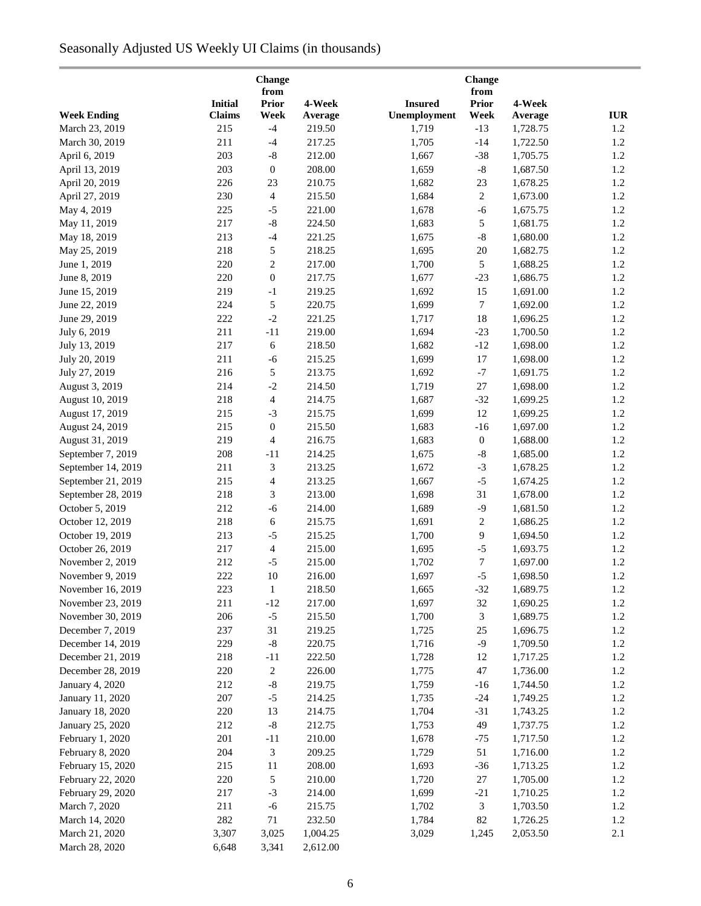# Seasonally Adjusted US Weekly UI Claims (in thousands)

|                    |                | Change           |          |                | Change                      |          |            |
|--------------------|----------------|------------------|----------|----------------|-----------------------------|----------|------------|
|                    |                | from             |          |                | from                        |          |            |
|                    | <b>Initial</b> | <b>Prior</b>     | 4-Week   | <b>Insured</b> | <b>Prior</b>                | 4-Week   |            |
| <b>Week Ending</b> | Claims         | Week             | Average  | Unemployment   | Week                        | Average  | <b>IUR</b> |
| March 23, 2019     | 215            | $-4$             | 219.50   | 1,719          | $-13$                       | 1,728.75 | 1.2        |
| March 30, 2019     | 211            | $-4$             | 217.25   | 1,705          | $-14$                       | 1,722.50 | 1.2        |
| April 6, 2019      | 203            | $\mbox{-}8$      | 212.00   | 1,667          | $-38$                       | 1,705.75 | 1.2        |
| April 13, 2019     | 203            | $\boldsymbol{0}$ | 208.00   | 1,659          | $\text{-}8$                 | 1,687.50 | 1.2        |
| April 20, 2019     | 226            | 23               | 210.75   | 1,682          | 23                          | 1,678.25 | 1.2        |
| April 27, 2019     | 230            | 4                | 215.50   | 1,684          | $\sqrt{2}$                  | 1,673.00 | 1.2        |
| May 4, 2019        | 225            | $-5$             | 221.00   | 1,678          | $-6$                        | 1,675.75 | 1.2        |
| May 11, 2019       | 217            | $\mbox{-}8$      | 224.50   | 1,683          | 5                           | 1,681.75 | 1.2        |
| May 18, 2019       | 213            | $-4$             | 221.25   | 1,675          | $\text{-}8$                 | 1,680.00 | 1.2        |
| May 25, 2019       | 218            | 5                | 218.25   | 1,695          | $20\,$                      | 1,682.75 | 1.2        |
| June 1, 2019       | 220            | $\overline{c}$   | 217.00   | 1,700          | $\sqrt{5}$                  | 1,688.25 | 1.2        |
| June 8, 2019       | 220            | $\boldsymbol{0}$ | 217.75   | 1,677          | $-23$                       | 1,686.75 | 1.2        |
| June 15, 2019      | 219            | $-1$             | 219.25   | 1,692          | 15                          | 1,691.00 | 1.2        |
| June 22, 2019      | 224            | 5                | 220.75   | 1,699          | $\tau$                      | 1,692.00 | 1.2        |
| June 29, 2019      | 222            | $-2$             | 221.25   | 1,717          | 18                          | 1,696.25 | 1.2        |
| July 6, 2019       | 211            | $-11$            | 219.00   | 1,694          | $-23$                       | 1,700.50 | 1.2        |
| July 13, 2019      | 217            | 6                | 218.50   | 1,682          | $-12$                       | 1,698.00 | 1.2        |
| July 20, 2019      | 211            | $-6$             | 215.25   | 1,699          | $17\,$                      | 1,698.00 | 1.2        |
| July 27, 2019      | 216            | 5                | 213.75   | 1,692          | $^{\rm -7}$                 | 1,691.75 | 1.2        |
| August 3, 2019     | 214            | $-2$             | 214.50   | 1,719          | $27\,$                      | 1,698.00 | 1.2        |
| August 10, 2019    | 218            | 4                | 214.75   | 1,687          | $-32$                       | 1,699.25 | 1.2        |
| August 17, 2019    | 215            | $-3$             | 215.75   | 1,699          | 12                          | 1,699.25 | 1.2        |
| August 24, 2019    | 215            | $\boldsymbol{0}$ | 215.50   | 1,683          | $-16$                       | 1,697.00 | 1.2        |
| August 31, 2019    | 219            | $\overline{4}$   | 216.75   | 1,683          | $\boldsymbol{0}$            | 1,688.00 | 1.2        |
| September 7, 2019  | 208            | $-11$            | 214.25   | 1,675          | $\text{-}8$                 | 1,685.00 | 1.2        |
| September 14, 2019 | 211            | 3                | 213.25   | 1,672          | $-3$                        | 1,678.25 | 1.2        |
| September 21, 2019 | 215            | 4                | 213.25   | 1,667          | $-5$                        | 1,674.25 | $1.2\,$    |
| September 28, 2019 | 218            | 3                | 213.00   | 1,698          | 31                          | 1,678.00 | 1.2        |
| October 5, 2019    | 212            | $-6$             | 214.00   | 1,689          | $-9$                        | 1,681.50 | 1.2        |
| October 12, 2019   | 218            | 6                | 215.75   | 1,691          | $\sqrt{2}$                  | 1,686.25 | 1.2        |
| October 19, 2019   | 213            | $-5$             | 215.25   | 1,700          | $\overline{9}$              | 1,694.50 | 1.2        |
| October 26, 2019   | 217            | 4                | 215.00   | 1,695          | $-5$                        | 1,693.75 | 1.2        |
| November 2, 2019   | 212            | $-5$             | 215.00   | 1,702          | 7                           | 1,697.00 | 1.2        |
| November 9, 2019   | 222            | 10               | 216.00   | 1,697          | $-5$                        | 1,698.50 | 1.2        |
| November 16, 2019  | 223            | $\,1$            | 218.50   | 1,665          | $-32$                       | 1,689.75 | 1.2        |
| November 23, 2019  | 211            | $-12$            | 217.00   | 1,697          | 32                          | 1,690.25 | 1.2        |
| November 30, 2019  | 206            | $-5$             | 215.50   | 1,700          | $\ensuremath{\mathfrak{Z}}$ | 1,689.75 | 1.2        |
| December 7, 2019   | 237            | 31               | 219.25   | 1,725          | 25                          | 1,696.75 | 1.2        |
| December 14, 2019  | 229            | $\text{-}8$      | 220.75   | 1,716          | $-9$                        | 1,709.50 | 1.2        |
| December 21, 2019  | 218            | $-11$            | 222.50   | 1,728          | 12                          | 1,717.25 | 1.2        |
| December 28, 2019  | 220            |                  | 226.00   | 1,775          | $47\,$                      | 1,736.00 | 1.2        |
|                    |                | $\overline{c}$   |          |                |                             |          |            |
| January 4, 2020    | 212            | $\text{-}8$      | 219.75   | 1,759          | $-16$                       | 1,744.50 | 1.2        |
| January 11, 2020   | 207            | $-5$             | 214.25   | 1,735          | $-24$                       | 1,749.25 | 1.2        |
| January 18, 2020   | 220            | 13               | 214.75   | 1,704          | $-31$                       | 1,743.25 | 1.2        |
| January 25, 2020   | 212            | $\text{-}8$      | 212.75   | 1,753          | 49                          | 1,737.75 | 1.2        |
| February 1, 2020   | 201            | $-11$            | 210.00   | 1,678          | $-75$                       | 1,717.50 | 1.2        |
| February 8, 2020   | 204            | 3                | 209.25   | 1,729          | 51                          | 1,716.00 | 1.2        |
| February 15, 2020  | 215            | 11               | 208.00   | 1,693          | $-36$                       | 1,713.25 | 1.2        |
| February 22, 2020  | 220            | 5                | 210.00   | 1,720          | 27                          | 1,705.00 | 1.2        |
| February 29, 2020  | 217            | $-3$             | 214.00   | 1,699          | $-21$                       | 1,710.25 | 1.2        |
| March 7, 2020      | 211            | $-6$             | 215.75   | 1,702          | 3                           | 1,703.50 | 1.2        |
| March 14, 2020     | 282            | $71\,$           | 232.50   | 1,784          | $82\,$                      | 1,726.25 | 1.2        |
| March 21, 2020     | 3,307          | 3,025            | 1,004.25 | 3,029          | 1,245                       | 2,053.50 | 2.1        |
| March 28, 2020     | 6,648          | 3,341            | 2,612.00 |                |                             |          |            |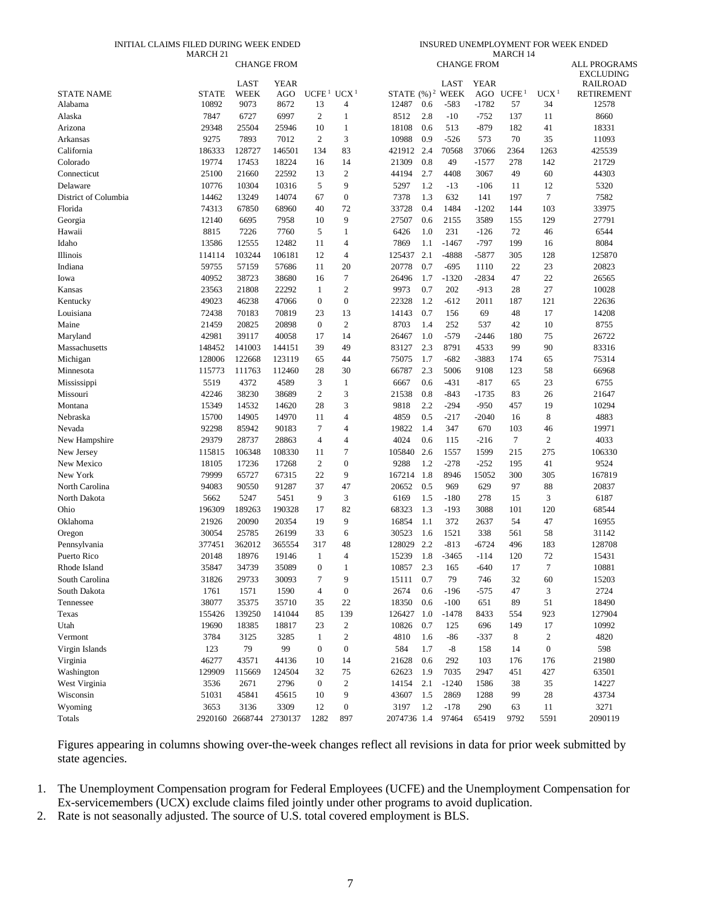#### INITIAL CLAIMS FILED DURING WEEK ENDED MARCH 21

INSURED UNEMPLOYMENT FOR WEEK ENDED

|                             | MARCH 21         |                    |                |                                    |                                  |               |            |                     |                   | <b>MARCH 14</b>       |                      |                                         |
|-----------------------------|------------------|--------------------|----------------|------------------------------------|----------------------------------|---------------|------------|---------------------|-------------------|-----------------------|----------------------|-----------------------------------------|
|                             |                  | <b>CHANGE FROM</b> |                |                                    |                                  |               |            | <b>CHANGE FROM</b>  |                   |                       |                      | <b>ALL PROGRAMS</b><br><b>EXCLUDING</b> |
|                             |                  | LAST               | YEAR           |                                    |                                  |               |            | LAST                | <b>YEAR</b>       |                       |                      | <b>RAILROAD</b>                         |
| <b>STATE NAME</b>           | <b>STATE</b>     | <b>WEEK</b>        | <b>AGO</b>     | UCFE <sup>1</sup> UCX <sup>1</sup> |                                  |               |            | STATE $(\%)^2$ WEEK |                   | AGO UCFE <sup>1</sup> | UCX <sup>1</sup>     | <b>RETIREMENT</b>                       |
| Alabama                     | 10892            | 9073               | 8672           | 13                                 | 4                                | 12487         | 0.6        | $-583$              | $-1782$           | 57                    | 34                   | 12578                                   |
| Alaska                      | 7847             | 6727               | 6997           | $\mathfrak{2}$                     | 1                                | 8512          | 2.8        | $-10$               | $-752$            | 137                   | 11                   | 8660                                    |
| Arizona                     | 29348            | 25504              | 25946          | 10                                 | 1                                | 18108         | 0.6        | 513                 | $-879$            | 182                   | 41                   | 18331                                   |
| Arkansas                    | 9275             | 7893               | 7012           | 2                                  | 3                                | 10988         | 0.9        | $-526$              | 573               | 70                    | 35                   | 11093                                   |
| California                  | 186333           | 128727             | 146501         | 134                                | 83                               | 421912        | 2.4        | 70568               | 37066             | 2364                  | 1263                 | 425539                                  |
| Colorado                    | 19774            | 17453              | 18224          | 16                                 | 14                               | 21309         | 0.8        | 49                  | $-1577$           | 278                   | 142                  | 21729                                   |
| Connecticut                 | 25100            | 21660              | 22592          | 13                                 | $\mathbf{2}$                     | 44194         | 2.7        | 4408                | 3067              | 49                    | 60                   | 44303                                   |
| Delaware                    | 10776            | 10304              | 10316          | 5                                  | 9                                | 5297          | 1.2        | $-13$               | $-106$            | 11                    | 12                   | 5320                                    |
| District of Columbia        | 14462            | 13249              | 14074          | 67                                 | $\boldsymbol{0}$                 | 7378          | 1.3        | 632                 | 141               | 197                   | $\tau$               | 7582                                    |
| Florida                     | 74313            | 67850              | 68960          | 40                                 | 72                               | 33728         | 0.4        | 1484                | $-1202$           | 144                   | 103                  | 33975                                   |
| Georgia                     | 12140            | 6695               | 7958           | 10                                 | 9                                | 27507         | 0.6        | 2155                | 3589              | 155                   | 129                  | 27791                                   |
| Hawaii                      | 8815             | 7226               | 7760           | 5                                  | 1                                | 6426          | 1.0        | 231                 | $-126$            | 72                    | 46                   | 6544                                    |
| Idaho                       | 13586            | 12555              | 12482          | 11                                 | 4                                | 7869          | 1.1        | $-1467$             | $-797$            | 199                   | 16                   | 8084                                    |
| Illinois                    | 114114           | 103244             | 106181         | 12                                 | $\overline{4}$                   | 125437        | 2.1        | $-4888$             | $-5877$           | 305                   | 128                  | 125870                                  |
| Indiana                     | 59755            | 57159              | 57686          | 11                                 | 20                               | 20778         | 0.7        | $-695$              | 1110              | 22                    | 23                   | 20823                                   |
| Iowa                        | 40952            | 38723              | 38680          | 16                                 | 7                                | 26496         | 1.7        | $-1320$             | $-2834$           | 47                    | 22                   | 26565                                   |
| Kansas                      | 23563            | 21808              | 22292          | $\mathbf{1}$                       | $\mathbf{2}$                     | 9973          | 0.7        | 202                 | $-913$            | 28                    | 27                   | 10028                                   |
| Kentucky<br>Louisiana       | 49023            | 46238              | 47066          | $\boldsymbol{0}$                   | $\boldsymbol{0}$                 | 22328         | 1.2        | $-612$              | 2011              | 187                   | 121                  | 22636                                   |
|                             | 72438            | 70183              | 70819          | 23                                 | 13<br>$\mathbf{2}$               | 14143         | 0.7        | 156                 | 69                | 48                    | 17                   | 14208                                   |
| Maine                       | 21459            | 20825              | 20898          | $\mathbf{0}$                       |                                  | 8703          | 1.4        | 252                 | 537               | 42                    | 10                   | 8755                                    |
| Maryland                    | 42981<br>148452  | 39117<br>141003    | 40058          | 17<br>39                           | 14<br>49                         | 26467         | 1.0<br>2.3 | $-579$<br>8791      | $-2446$           | 180<br>99             | 75<br>90             | 26722                                   |
| Massachusetts               |                  |                    | 144151         |                                    |                                  | 83127         |            |                     | 4533              |                       |                      | 83316                                   |
| Michigan                    | 128006<br>115773 | 122668             | 123119         | 65<br>28                           | 44<br>30                         | 75075         | 1.7<br>2.3 | $-682$              | -3883<br>9108     | 174                   | 65<br>58             | 75314<br>66968                          |
| Minnesota                   | 5519             | 111763             | 112460<br>4589 | 3                                  |                                  | 66787         | 0.6        | 5006                |                   | 123                   | 23                   |                                         |
| Mississippi                 |                  | 4372               |                |                                    | 1                                | 6667          |            | -431                | $-817$            | 65                    |                      | 6755                                    |
| Missouri<br>Montana         | 42246<br>15349   | 38230<br>14532     | 38689<br>14620 | 2<br>28                            | $\mathfrak{Z}$<br>$\mathfrak{Z}$ | 21538<br>9818 | 0.8<br>2.2 | $-843$<br>$-294$    | $-1735$<br>$-950$ | 83<br>457             | 26<br>19             | 21647<br>10294                          |
| Nebraska                    | 15700            | 14905              | 14970          | 11                                 | $\overline{4}$                   | 4859          | 0.5        | $-217$              | $-2040$           | 16                    | 8                    | 4883                                    |
|                             | 92298            | 85942              | 90183          | 7                                  | $\overline{4}$                   | 19822         |            |                     | 670               |                       |                      | 19971                                   |
| Nevada                      | 29379            | 28737              | 28863          | $\overline{4}$                     | 4                                | 4024          | 1.4<br>0.6 | 347<br>115          | $-216$            | 103<br>$\tau$         | 46<br>$\mathfrak{2}$ | 4033                                    |
| New Hampshire<br>New Jersey | 115815           | 106348             | 108330         | 11                                 | $\tau$                           | 105840        | 2.6        | 1557                | 1599              | 215                   | 275                  | 106330                                  |
| New Mexico                  | 18105            | 17236              | 17268          | $\overline{2}$                     | $\boldsymbol{0}$                 | 9288          | 1.2        | $-278$              | $-252$            | 195                   | 41                   | 9524                                    |
| New York                    | 79999            | 65727              | 67315          | 22                                 | 9                                | 167214        | 1.8        | 8946                | 15052             | 300                   | 305                  | 167819                                  |
| North Carolina              | 94083            | 90550              | 91287          | 37                                 | 47                               | 20652         | 0.5        | 969                 | 629               | 97                    | 88                   | 20837                                   |
| North Dakota                | 5662             | 5247               | 5451           | 9                                  | $\mathfrak{Z}$                   | 6169          | 1.5        | $-180$              | 278               | 15                    | 3                    | 6187                                    |
| Ohio                        | 196309           | 189263             | 190328         | 17                                 | 82                               | 68323         | 1.3        | -193                | 3088              | 101                   | 120                  | 68544                                   |
| Oklahoma                    | 21926            | 20090              | 20354          | 19                                 | 9                                | 16854         | 1.1        | 372                 | 2637              | 54                    | 47                   | 16955                                   |
| Oregon                      | 30054            | 25785              | 26199          | 33                                 | 6                                | 30523         | 1.6        | 1521                | 338               | 561                   | 58                   | 31142                                   |
| Pennsylvania                | 377451           | 362012             | 365554         | 317                                | 48                               | 128029        | 2.2        | $-813$              | $-6724$           | 496                   | 183                  | 128708                                  |
| Puerto Rico                 | 20148            | 18976              | 19146          | $\mathbf{1}$                       | $\overline{4}$                   | 15239         | 1.8        | $-3465$             | $-114$            | 120                   | 72                   | 15431                                   |
| Rhode Island                | 35847            | 34739              | 35089          | $\boldsymbol{0}$                   | 1                                | 10857         | 2.3        | 165                 | -640              | 17                    | 7                    | 10881                                   |
| South Carolina              | 31826            | 29733              | 30093          | 7                                  | 9                                | 15111         | 0.7        | 79                  | 746               | 32                    | 60                   | 15203                                   |
| South Dakota                | 1761             | 1571               | 1590           | 4                                  | $\boldsymbol{0}$                 | 2674          | 0.6        | $-196$              | $-575$            | 47                    | 3                    | 2724                                    |
| Tennessee                   | 38077            | 35375              | 35710          | 35                                 | 22                               | 18350         | 0.6        | $-100$              | 651               | 89                    | 51                   | 18490                                   |
| Texas                       | 155426           | 139250             | 141044         | 85                                 | 139                              | 126427        | 1.0        | $-1478$             | 8433              | 554                   | 923                  | 127904                                  |
| Utah                        | 19690            | 18385              | 18817          | 23                                 | $\overline{c}$                   | 10826         | 0.7        | 125                 | 696               | 149                   | 17                   | 10992                                   |
| Vermont                     | 3784             | 3125               | 3285           | $\mathbf{1}$                       | $\sqrt{2}$                       | 4810          | 1.6        | $-86$               | $-337$            | 8                     | $\boldsymbol{2}$     | 4820                                    |
| Virgin Islands              | 123              | 79                 | 99             | $\boldsymbol{0}$                   | $\boldsymbol{0}$                 | 584           | 1.7        | -8                  | 158               | 14                    | $\boldsymbol{0}$     | 598                                     |
| Virginia                    | 46277            | 43571              | 44136          | 10                                 | 14                               | 21628         | 0.6        | 292                 | 103               | 176                   | 176                  | 21980                                   |
| Washington                  | 129909           | 115669             | 124504         | 32                                 | 75                               | 62623         | 1.9        | 7035                | 2947              | 451                   | 427                  | 63501                                   |
| West Virginia               | 3536             | 2671               | 2796           | $\boldsymbol{0}$                   | $\sqrt{2}$                       | 14154         | 2.1        | $-1240$             | 1586              | 38                    | 35                   | 14227                                   |
| Wisconsin                   | 51031            | 45841              | 45615          | 10                                 | 9                                | 43607         | 1.5        | 2869                | 1288              | 99                    | 28                   | 43734                                   |
| Wyoming                     | 3653             | 3136               | 3309           | 12                                 | $\boldsymbol{0}$                 | 3197          | 1.2        | $-178$              | 290               | 63                    | 11                   | 3271                                    |
| Totals                      |                  | 2920160 2668744    | 2730137        | 1282                               | 897                              | 2074736 1.4   |            | 97464               | 65419             | 9792                  | 5591                 | 2090119                                 |
|                             |                  |                    |                |                                    |                                  |               |            |                     |                   |                       |                      |                                         |

Figures appearing in columns showing over-the-week changes reflect all revisions in data for prior week submitted by state agencies.

- 1. The Unemployment Compensation program for Federal Employees (UCFE) and the Unemployment Compensation for Ex-servicemembers (UCX) exclude claims filed jointly under other programs to avoid duplication.
- 2. Rate is not seasonally adjusted. The source of U.S. total covered employment is BLS.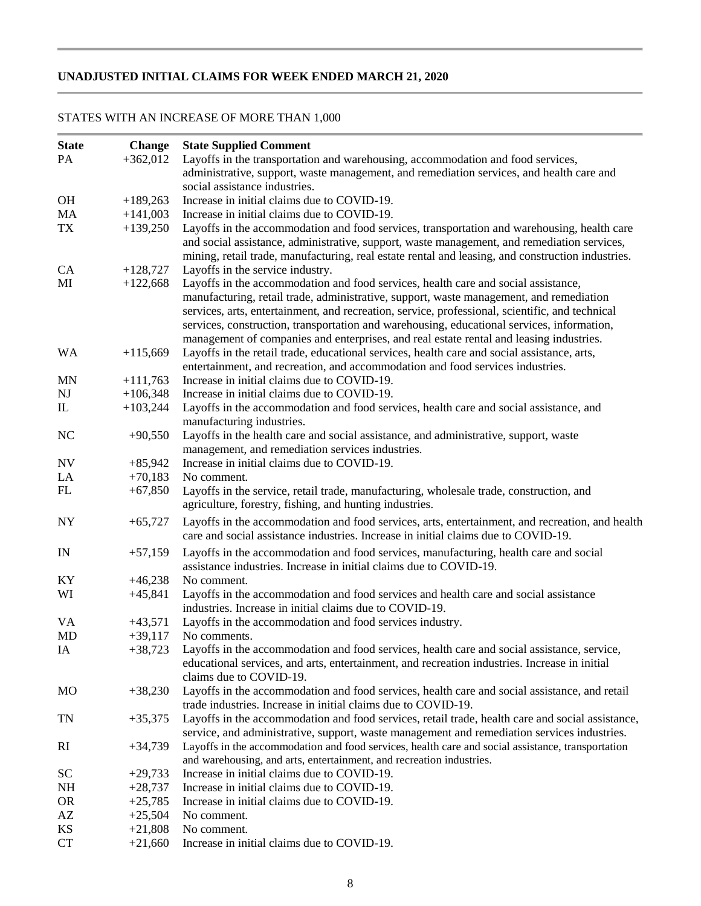# **UNADJUSTED INITIAL CLAIMS FOR WEEK ENDED MARCH 21, 2020**

# STATES WITH AN INCREASE OF MORE THAN 1,000

| <b>State</b>           | <b>Change</b> | <b>State Supplied Comment</b>                                                                                                                                                                                                                                                                                                                                                                                                                                             |
|------------------------|---------------|---------------------------------------------------------------------------------------------------------------------------------------------------------------------------------------------------------------------------------------------------------------------------------------------------------------------------------------------------------------------------------------------------------------------------------------------------------------------------|
| PA                     | $+362,012$    | Layoffs in the transportation and warehousing, accommodation and food services,                                                                                                                                                                                                                                                                                                                                                                                           |
|                        |               | administrative, support, waste management, and remediation services, and health care and                                                                                                                                                                                                                                                                                                                                                                                  |
|                        |               | social assistance industries.                                                                                                                                                                                                                                                                                                                                                                                                                                             |
| <b>OH</b>              | $+189,263$    | Increase in initial claims due to COVID-19.                                                                                                                                                                                                                                                                                                                                                                                                                               |
| MA                     | $+141,003$    | Increase in initial claims due to COVID-19.                                                                                                                                                                                                                                                                                                                                                                                                                               |
| TX                     | $+139,250$    | Layoffs in the accommodation and food services, transportation and warehousing, health care<br>and social assistance, administrative, support, waste management, and remediation services,<br>mining, retail trade, manufacturing, real estate rental and leasing, and construction industries.                                                                                                                                                                           |
| CA                     | $+128,727$    | Layoffs in the service industry.                                                                                                                                                                                                                                                                                                                                                                                                                                          |
| MI                     | $+122,668$    | Layoffs in the accommodation and food services, health care and social assistance,<br>manufacturing, retail trade, administrative, support, waste management, and remediation<br>services, arts, entertainment, and recreation, service, professional, scientific, and technical<br>services, construction, transportation and warehousing, educational services, information,<br>management of companies and enterprises, and real estate rental and leasing industries. |
| <b>WA</b>              | $+115,669$    | Layoffs in the retail trade, educational services, health care and social assistance, arts,<br>entertainment, and recreation, and accommodation and food services industries.                                                                                                                                                                                                                                                                                             |
| MN                     | $+111,763$    | Increase in initial claims due to COVID-19.                                                                                                                                                                                                                                                                                                                                                                                                                               |
| NJ                     | $+106,348$    | Increase in initial claims due to COVID-19.                                                                                                                                                                                                                                                                                                                                                                                                                               |
| $\mathbf{I}$           | $+103,244$    | Layoffs in the accommodation and food services, health care and social assistance, and<br>manufacturing industries.                                                                                                                                                                                                                                                                                                                                                       |
| NC                     | $+90,550$     | Layoffs in the health care and social assistance, and administrative, support, waste<br>management, and remediation services industries.                                                                                                                                                                                                                                                                                                                                  |
| <b>NV</b>              | $+85,942$     | Increase in initial claims due to COVID-19.                                                                                                                                                                                                                                                                                                                                                                                                                               |
| LA                     | $+70,183$     | No comment.                                                                                                                                                                                                                                                                                                                                                                                                                                                               |
| FL                     | $+67,850$     | Layoffs in the service, retail trade, manufacturing, wholesale trade, construction, and<br>agriculture, forestry, fishing, and hunting industries.                                                                                                                                                                                                                                                                                                                        |
| <b>NY</b>              | $+65,727$     | Layoffs in the accommodation and food services, arts, entertainment, and recreation, and health<br>care and social assistance industries. Increase in initial claims due to COVID-19.                                                                                                                                                                                                                                                                                     |
| IN                     | $+57,159$     | Layoffs in the accommodation and food services, manufacturing, health care and social<br>assistance industries. Increase in initial claims due to COVID-19.                                                                                                                                                                                                                                                                                                               |
| KY                     | $+46,238$     | No comment.                                                                                                                                                                                                                                                                                                                                                                                                                                                               |
| WI                     | $+45,841$     | Layoffs in the accommodation and food services and health care and social assistance<br>industries. Increase in initial claims due to COVID-19.                                                                                                                                                                                                                                                                                                                           |
| VA                     | $+43,571$     | Layoffs in the accommodation and food services industry.                                                                                                                                                                                                                                                                                                                                                                                                                  |
| MD                     | $+39,117$     | No comments.                                                                                                                                                                                                                                                                                                                                                                                                                                                              |
| IA                     | $+38,723$     | Layoffs in the accommodation and food services, health care and social assistance, service,<br>educational services, and arts, entertainment, and recreation industries. Increase in initial<br>claims due to COVID-19.                                                                                                                                                                                                                                                   |
| <b>MO</b>              | $+38,230$     | Layoffs in the accommodation and food services, health care and social assistance, and retail<br>trade industries. Increase in initial claims due to COVID-19.                                                                                                                                                                                                                                                                                                            |
| TN                     | $+35,375$     | Layoffs in the accommodation and food services, retail trade, health care and social assistance,<br>service, and administrative, support, waste management and remediation services industries.                                                                                                                                                                                                                                                                           |
| RI                     | $+34,739$     | Layoffs in the accommodation and food services, health care and social assistance, transportation<br>and warehousing, and arts, entertainment, and recreation industries.                                                                                                                                                                                                                                                                                                 |
| <b>SC</b>              | $+29,733$     | Increase in initial claims due to COVID-19.                                                                                                                                                                                                                                                                                                                                                                                                                               |
| NH                     | $+28,737$     | Increase in initial claims due to COVID-19.                                                                                                                                                                                                                                                                                                                                                                                                                               |
| <b>OR</b>              | $+25,785$     | Increase in initial claims due to COVID-19.                                                                                                                                                                                                                                                                                                                                                                                                                               |
| $\mathbf{A}\mathbf{Z}$ | $+25,504$     | No comment.                                                                                                                                                                                                                                                                                                                                                                                                                                                               |
| KS                     | $+21,808$     | No comment.                                                                                                                                                                                                                                                                                                                                                                                                                                                               |
| CT                     | $+21,660$     | Increase in initial claims due to COVID-19.                                                                                                                                                                                                                                                                                                                                                                                                                               |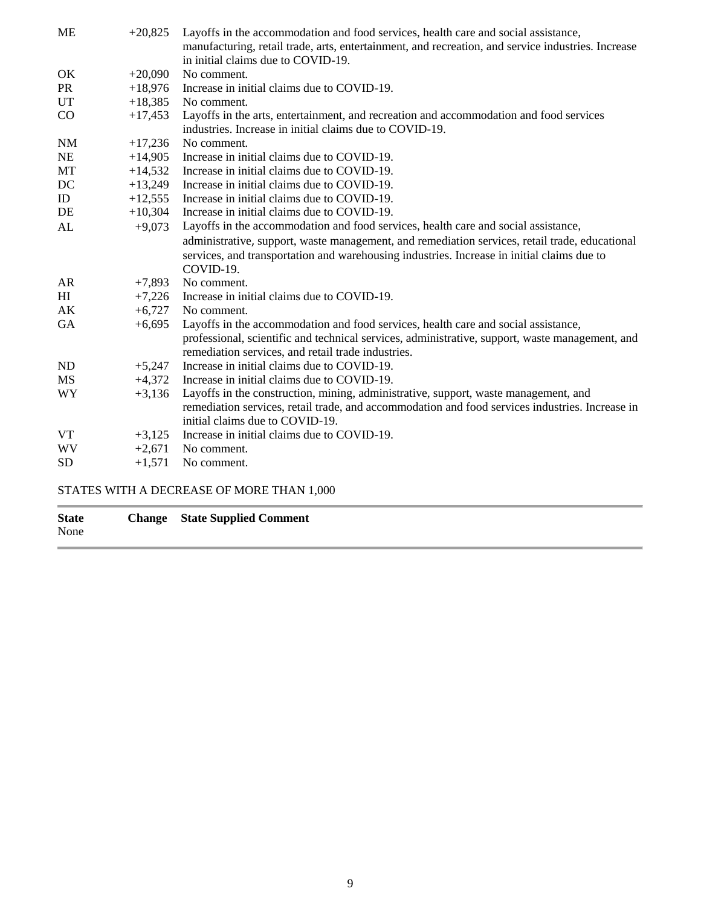| ME        | $+20,825$ | Layoffs in the accommodation and food services, health care and social assistance,                 |
|-----------|-----------|----------------------------------------------------------------------------------------------------|
|           |           | manufacturing, retail trade, arts, entertainment, and recreation, and service industries. Increase |
|           |           | in initial claims due to COVID-19.                                                                 |
| OK        | $+20,090$ | No comment.                                                                                        |
| <b>PR</b> | $+18,976$ | Increase in initial claims due to COVID-19.                                                        |
| UT        | $+18,385$ | No comment.                                                                                        |
| CO        | $+17,453$ | Layoffs in the arts, entertainment, and recreation and accommodation and food services             |
|           |           | industries. Increase in initial claims due to COVID-19.                                            |
| <b>NM</b> | $+17,236$ | No comment.                                                                                        |
| NE        | $+14,905$ | Increase in initial claims due to COVID-19.                                                        |
| MT        | $+14,532$ | Increase in initial claims due to COVID-19.                                                        |
| DC        | $+13,249$ | Increase in initial claims due to COVID-19.                                                        |
| ID        | $+12,555$ | Increase in initial claims due to COVID-19.                                                        |
| DE        | $+10,304$ | Increase in initial claims due to COVID-19.                                                        |
| AL        | $+9,073$  | Layoffs in the accommodation and food services, health care and social assistance,                 |
|           |           | administrative, support, waste management, and remediation services, retail trade, educational     |
|           |           | services, and transportation and warehousing industries. Increase in initial claims due to         |
|           |           | COVID-19.                                                                                          |
| AR        | $+7,893$  | No comment.                                                                                        |
| H         | $+7,226$  | Increase in initial claims due to COVID-19.                                                        |
| AK        | $+6,727$  | No comment.                                                                                        |
| GA        | $+6,695$  | Layoffs in the accommodation and food services, health care and social assistance,                 |
|           |           | professional, scientific and technical services, administrative, support, waste management, and    |
|           |           | remediation services, and retail trade industries.                                                 |
| ND        | $+5,247$  | Increase in initial claims due to COVID-19.                                                        |
| MS        | $+4,372$  | Increase in initial claims due to COVID-19.                                                        |
| WY        | $+3,136$  | Layoffs in the construction, mining, administrative, support, waste management, and                |
|           |           | remediation services, retail trade, and accommodation and food services industries. Increase in    |
|           |           | initial claims due to COVID-19.                                                                    |
| <b>VT</b> | $+3,125$  | Increase in initial claims due to COVID-19.                                                        |
| WV        | $+2,671$  | No comment.                                                                                        |
| <b>SD</b> | $+1,571$  | No comment.                                                                                        |
|           |           |                                                                                                    |

# STATES WITH A DECREASE OF MORE THAN 1,000

- **State Change State Supplied Comment** None
-